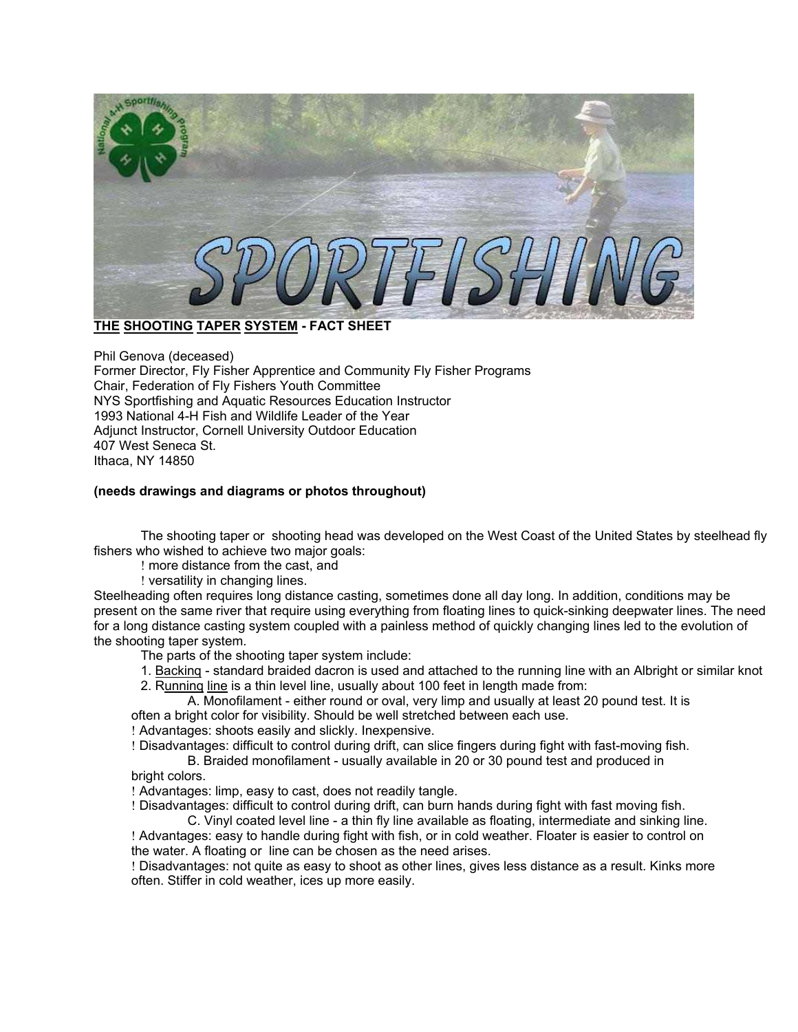

**THE SHOOTING TAPER SYSTEM - FACT SHEET**

Phil Genova (deceased) Former Director, Fly Fisher Apprentice and Community Fly Fisher Programs Chair, Federation of Fly Fishers Youth Committee NYS Sportfishing and Aquatic Resources Education Instructor 1993 National 4-H Fish and Wildlife Leader of the Year Adjunct Instructor, Cornell University Outdoor Education 407 West Seneca St. Ithaca, NY 14850

## **(needs drawings and diagrams or photos throughout)**

The shooting taper or shooting head was developed on the West Coast of the United States by steelhead fly fishers who wished to achieve two major goals:

! more distance from the cast, and

! versatility in changing lines.

Steelheading often requires long distance casting, sometimes done all day long. In addition, conditions may be present on the same river that require using everything from floating lines to quick-sinking deepwater lines. The need for a long distance casting system coupled with a painless method of quickly changing lines led to the evolution of the shooting taper system.

The parts of the shooting taper system include:

1. Backinq - standard braided dacron is used and attached to the running line with an Albright or similar knot

2. Runninq line is a thin level line, usually about 100 feet in length made from:

A. Monofilament - either round or oval, very limp and usually at least 20 pound test. It is often a bright color for visibility. Should be well stretched between each use.

! Advantages: shoots easily and slickly. Inexpensive.

! Disadvantages: difficult to control during drift, can slice fingers during fight with fast-moving fish.

B. Braided monofilament - usually available in 20 or 30 pound test and produced in

bright colors.

! Advantages: limp, easy to cast, does not readily tangle.

! Disadvantages: difficult to control during drift, can burn hands during fight with fast moving fish.

C. Vinyl coated level line - a thin fly line available as floating, intermediate and sinking line. ! Advantages: easy to handle during fight with fish, or in cold weather. Floater is easier to control on the water. A floating or line can be chosen as the need arises.

! Disadvantages: not quite as easy to shoot as other lines, gives less distance as a result. Kinks more often. Stiffer in cold weather, ices up more easily.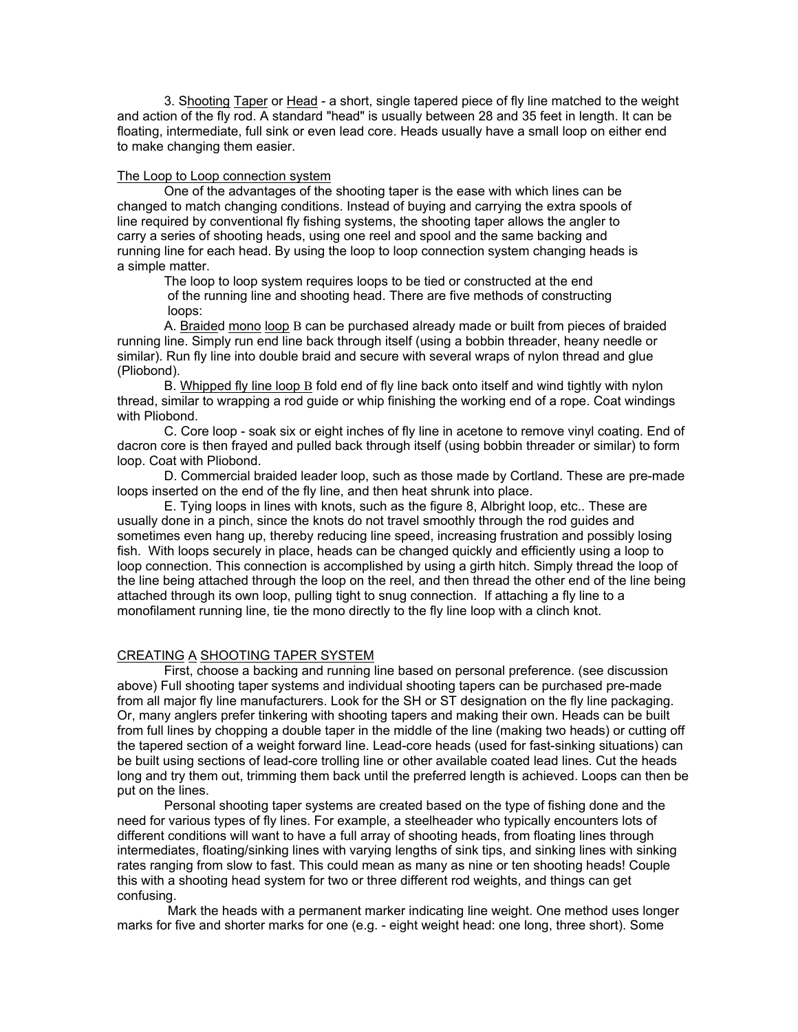3. Shooting Taper or Head - a short, single tapered piece of fly line matched to the weight and action of the fly rod. A standard "head" is usually between 28 and 35 feet in length. It can be floating, intermediate, full sink or even lead core. Heads usually have a small loop on either end to make changing them easier.

## The Loop to Loop connection system

One of the advantages of the shooting taper is the ease with which lines can be changed to match changing conditions. Instead of buying and carrying the extra spools of line required by conventional fly fishing systems, the shooting taper allows the angler to carry a series of shooting heads, using one reel and spool and the same backing and running line for each head. By using the loop to loop connection system changing heads is a simple matter.

The loop to loop system requires loops to be tied or constructed at the end of the running line and shooting head. There are five methods of constructing loops:

A. Braided mono loop B can be purchased already made or built from pieces of braided running line. Simply run end line back through itself (using a bobbin threader, heany needle or similar). Run fly line into double braid and secure with several wraps of nylon thread and glue (Pliobond).

B. Whipped fly line loop B fold end of fly line back onto itself and wind tightly with nylon thread, similar to wrapping a rod guide or whip finishing the working end of a rope. Coat windings with Pliobond.

C. Core loop - soak six or eight inches of fly line in acetone to remove vinyl coating. End of dacron core is then frayed and pulled back through itself (using bobbin threader or similar) to form loop. Coat with Pliobond.

D. Commercial braided leader loop, such as those made by Cortland. These are pre-made loops inserted on the end of the fly line, and then heat shrunk into place.

E. Tying loops in lines with knots, such as the figure 8, Albright loop, etc.. These are usually done in a pinch, since the knots do not travel smoothly through the rod guides and sometimes even hang up, thereby reducing line speed, increasing frustration and possibly losing fish. With loops securely in place, heads can be changed quickly and efficiently using a loop to loop connection. This connection is accomplished by using a girth hitch. Simply thread the loop of the line being attached through the loop on the reel, and then thread the other end of the line being attached through its own loop, pulling tight to snug connection. If attaching a fly line to a monofilament running line, tie the mono directly to the fly line loop with a clinch knot.

## CREATING A SHOOTING TAPER SYSTEM

First, choose a backing and running line based on personal preference. (see discussion above) Full shooting taper systems and individual shooting tapers can be purchased pre-made from all major fly line manufacturers. Look for the SH or ST designation on the fly line packaging. Or, many anglers prefer tinkering with shooting tapers and making their own. Heads can be built from full lines by chopping a double taper in the middle of the line (making two heads) or cutting off the tapered section of a weight forward line. Lead-core heads (used for fast-sinking situations) can be built using sections of lead-core trolling line or other available coated lead lines. Cut the heads long and try them out, trimming them back until the preferred length is achieved. Loops can then be put on the lines.

Personal shooting taper systems are created based on the type of fishing done and the need for various types of fly lines. For example, a steelheader who typically encounters lots of different conditions will want to have a full array of shooting heads, from floating lines through intermediates, floating/sinking lines with varying lengths of sink tips, and sinking lines with sinking rates ranging from slow to fast. This could mean as many as nine or ten shooting heads! Couple this with a shooting head system for two or three different rod weights, and things can get confusing.

 Mark the heads with a permanent marker indicating line weight. One method uses longer marks for five and shorter marks for one (e.g. - eight weight head: one long, three short). Some